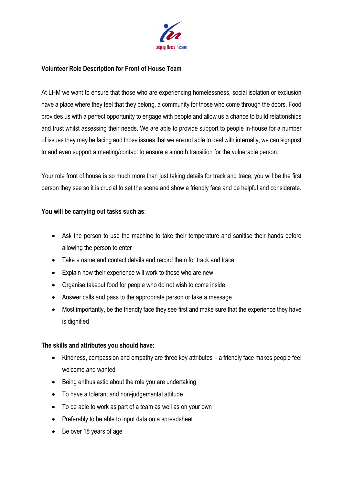

# Volunteer Role Description for Front of House Team

At LHM we want to ensure that those who are experiencing homelessness, social isolation or exclusion have a place where they feel that they belong, a community for those who come through the doors. Food provides us with a perfect opportunity to engage with people and allow us a chance to build relationships and trust whilst assessing their needs. We are able to provide support to people in-house for a number of issues they may be facing and those issues that we are not able to deal with internally, we can signpost to and even support a meeting/contact to ensure a smooth transition for the vulnerable person.

Your role front of house is so much more than just taking details for track and trace, you will be the first person they see so it is crucial to set the scene and show a friendly face and be helpful and considerate.

## You will be carrying out tasks such as:

- Ask the person to use the machine to take their temperature and sanitise their hands before allowing the person to enter
- Take a name and contact details and record them for track and trace
- Explain how their experience will work to those who are new
- Organise takeout food for people who do not wish to come inside
- Answer calls and pass to the appropriate person or take a message
- Most importantly, be the friendly face they see first and make sure that the experience they have is dignified

## The skills and attributes you should have:

- Kindness, compassion and empathy are three key attributes a friendly face makes people feel welcome and wanted
- Being enthusiastic about the role you are undertaking
- To have a tolerant and non-judgemental attitude
- To be able to work as part of a team as well as on your own
- Preferably to be able to input data on a spreadsheet
- Be over 18 years of age